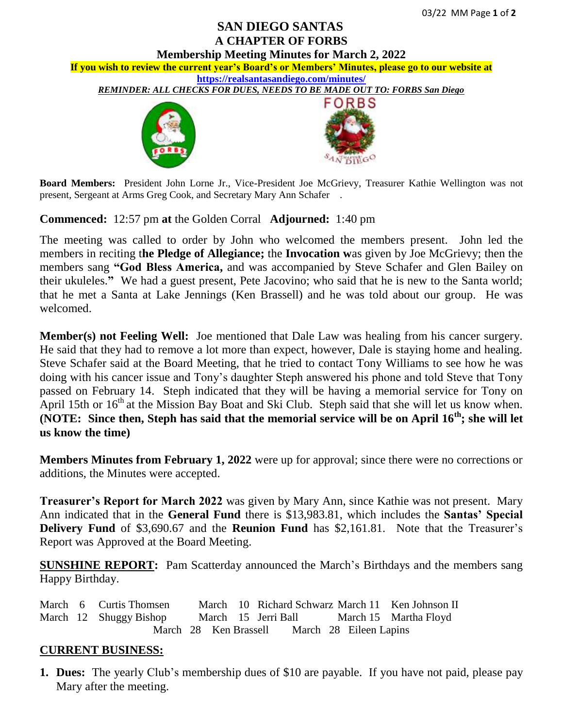## **SAN DIEGO SANTAS A CHAPTER OF FORBS Membership Meeting Minutes for March 2, 2022**

**If you wish to review the current year's Board's or Members' Minutes, please go to our website at <https://realsantasandiego.com/minutes/>**

*REMINDER: ALL CHECKS FOR DUES, NEEDS TO BE MADE OUT TO: FORBS San Diego*





**Board Members:** President John Lorne Jr., Vice-President Joe McGrievy, Treasurer Kathie Wellington was not present, Sergeant at Arms Greg Cook, and Secretary Mary Ann Schafer .

**Commenced:** 12:57 pm **at** the Golden Corral **Adjourned:** 1:40 pm

The meeting was called to order by John who welcomed the members present. John led the members in reciting t**he Pledge of Allegiance;** the **Invocation w**as given by Joe McGrievy; then the members sang **"God Bless America,** and was accompanied by Steve Schafer and Glen Bailey on their ukuleles.**"** We had a guest present, Pete Jacovino; who said that he is new to the Santa world; that he met a Santa at Lake Jennings (Ken Brassell) and he was told about our group. He was welcomed.

**Member(s) not Feeling Well:** Joe mentioned that Dale Law was healing from his cancer surgery. He said that they had to remove a lot more than expect, however, Dale is staying home and healing. Steve Schafer said at the Board Meeting, that he tried to contact Tony Williams to see how he was doing with his cancer issue and Tony's daughter Steph answered his phone and told Steve that Tony passed on February 14. Steph indicated that they will be having a memorial service for Tony on April 15th or  $16<sup>th</sup>$  at the Mission Bay Boat and Ski Club. Steph said that she will let us know when. **(NOTE: Since then, Steph has said that the memorial service will be on April 16th; she will let us know the time)**

**Members Minutes from February 1, 2022** were up for approval; since there were no corrections or additions, the Minutes were accepted.

**Treasurer's Report for March 2022** was given by Mary Ann, since Kathie was not present. Mary Ann indicated that in the **General Fund** there is \$13,983.81, which includes the **Santas' Special Delivery Fund** of \$3,690.67 and the **Reunion Fund** has \$2,161.81. Note that the Treasurer's Report was Approved at the Board Meeting.

**SUNSHINE REPORT:** Pam Scatterday announced the March's Birthdays and the members sang Happy Birthday.

March 6 Curtis Thomsen March 10 Richard Schwarz March 11 Ken Johnson II March 12 Shuggy Bishop March 15 Jerri Ball March 15 Martha Floyd March 28 Ken Brassell March 28 Eileen Lapins

## **CURRENT BUSINESS:**

**1. Dues:** The yearly Club's membership dues of \$10 are payable. If you have not paid, please pay Mary after the meeting.